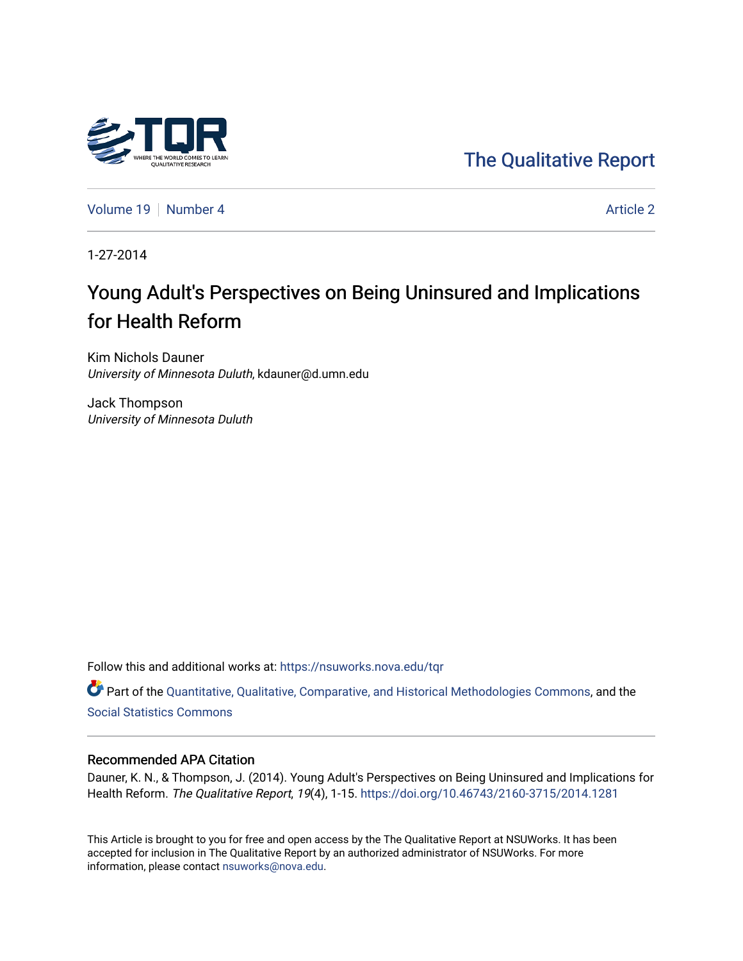## [The Qualitative Report](https://nsuworks.nova.edu/tqr)

[Volume 19](https://nsuworks.nova.edu/tqr/vol19) [Number 4](https://nsuworks.nova.edu/tqr/vol19/iss4) Article 2

1-27-2014

## Young Adult's Perspectives on Being Uninsured and Implications for Health Reform

Kim Nichols Dauner University of Minnesota Duluth, kdauner@d.umn.edu

Jack Thompson University of Minnesota Duluth

Follow this and additional works at: [https://nsuworks.nova.edu/tqr](https://nsuworks.nova.edu/tqr?utm_source=nsuworks.nova.edu%2Ftqr%2Fvol19%2Fiss4%2F2&utm_medium=PDF&utm_campaign=PDFCoverPages) 

Part of the [Quantitative, Qualitative, Comparative, and Historical Methodologies Commons,](http://network.bepress.com/hgg/discipline/423?utm_source=nsuworks.nova.edu%2Ftqr%2Fvol19%2Fiss4%2F2&utm_medium=PDF&utm_campaign=PDFCoverPages) and the [Social Statistics Commons](http://network.bepress.com/hgg/discipline/1275?utm_source=nsuworks.nova.edu%2Ftqr%2Fvol19%2Fiss4%2F2&utm_medium=PDF&utm_campaign=PDFCoverPages) 

#### Recommended APA Citation

Dauner, K. N., & Thompson, J. (2014). Young Adult's Perspectives on Being Uninsured and Implications for Health Reform. The Qualitative Report, 19(4), 1-15.<https://doi.org/10.46743/2160-3715/2014.1281>

This Article is brought to you for free and open access by the The Qualitative Report at NSUWorks. It has been accepted for inclusion in The Qualitative Report by an authorized administrator of NSUWorks. For more information, please contact [nsuworks@nova.edu.](mailto:nsuworks@nova.edu)

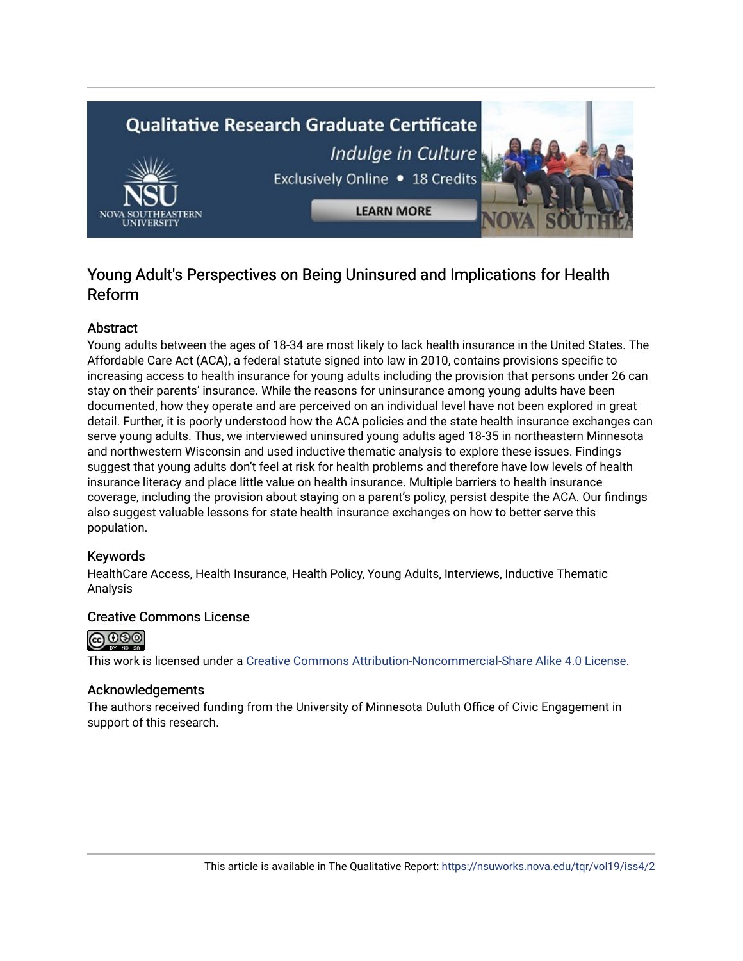# **Qualitative Research Graduate Certificate** Indulge in Culture Exclusively Online . 18 Credits **LEARN MORE**

### Young Adult's Perspectives on Being Uninsured and Implications for Health Reform

#### Abstract

Young adults between the ages of 18-34 are most likely to lack health insurance in the United States. The Affordable Care Act (ACA), a federal statute signed into law in 2010, contains provisions specific to increasing access to health insurance for young adults including the provision that persons under 26 can stay on their parents' insurance. While the reasons for uninsurance among young adults have been documented, how they operate and are perceived on an individual level have not been explored in great detail. Further, it is poorly understood how the ACA policies and the state health insurance exchanges can serve young adults. Thus, we interviewed uninsured young adults aged 18-35 in northeastern Minnesota and northwestern Wisconsin and used inductive thematic analysis to explore these issues. Findings suggest that young adults don't feel at risk for health problems and therefore have low levels of health insurance literacy and place little value on health insurance. Multiple barriers to health insurance coverage, including the provision about staying on a parent's policy, persist despite the ACA. Our findings also suggest valuable lessons for state health insurance exchanges on how to better serve this population.

#### Keywords

HealthCare Access, Health Insurance, Health Policy, Young Adults, Interviews, Inductive Thematic Analysis

#### Creative Commons License



This work is licensed under a [Creative Commons Attribution-Noncommercial-Share Alike 4.0 License](https://creativecommons.org/licenses/by-nc-sa/4.0/).

#### Acknowledgements

The authors received funding from the University of Minnesota Duluth Office of Civic Engagement in support of this research.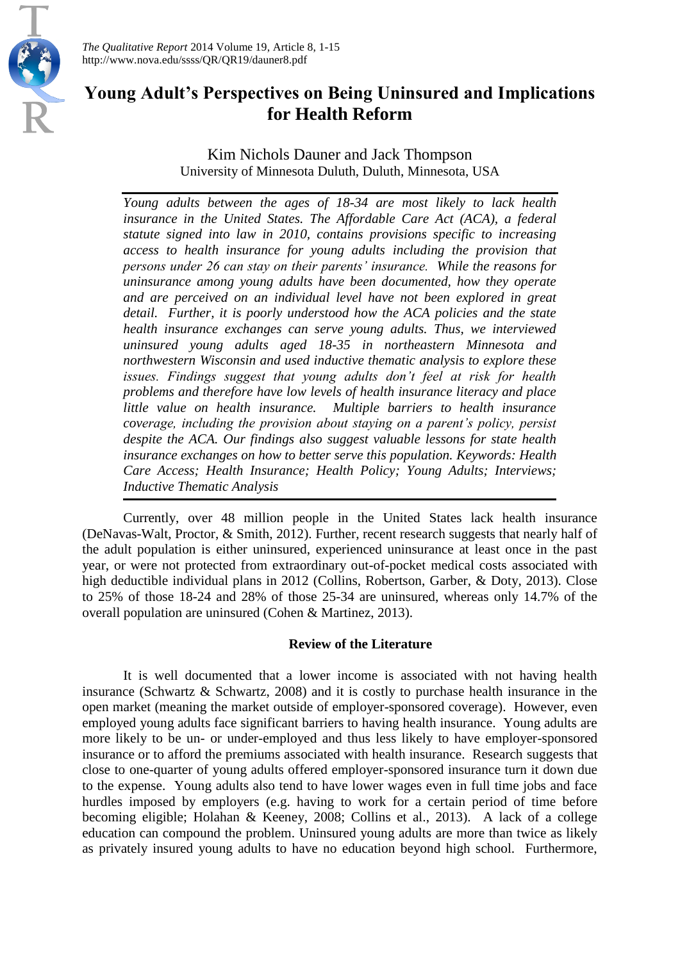

*The Qualitative Report* 2014 Volume 19, Article 8, 1-15 http://www.nova.edu/ssss/QR/QR19/dauner8.pdf

## **Young Adult's Perspectives on Being Uninsured and Implications for Health Reform**

Kim Nichols Dauner and Jack Thompson University of Minnesota Duluth, Duluth, Minnesota, USA

*Young adults between the ages of 18-34 are most likely to lack health insurance in the United States. The Affordable Care Act (ACA), a federal statute signed into law in 2010, contains provisions specific to increasing access to health insurance for young adults including the provision that persons under 26 can stay on their parents' insurance. While the reasons for uninsurance among young adults have been documented, how they operate and are perceived on an individual level have not been explored in great detail. Further, it is poorly understood how the ACA policies and the state health insurance exchanges can serve young adults. Thus, we interviewed uninsured young adults aged 18-35 in northeastern Minnesota and northwestern Wisconsin and used inductive thematic analysis to explore these issues. Findings suggest that young adults don't feel at risk for health problems and therefore have low levels of health insurance literacy and place little value on health insurance. Multiple barriers to health insurance coverage, including the provision about staying on a parent's policy, persist despite the ACA. Our findings also suggest valuable lessons for state health insurance exchanges on how to better serve this population. Keywords: Health Care Access; Health Insurance; Health Policy; Young Adults; Interviews; Inductive Thematic Analysis*

Currently, over 48 million people in the United States lack health insurance (DeNavas-Walt, Proctor, & Smith, 2012). Further, recent research suggests that nearly half of the adult population is either uninsured, experienced uninsurance at least once in the past year, or were not protected from extraordinary out-of-pocket medical costs associated with high deductible individual plans in 2012 (Collins, Robertson, Garber, & Doty, 2013). Close to 25% of those 18-24 and 28% of those 25-34 are uninsured, whereas only 14.7% of the overall population are uninsured (Cohen & Martinez, 2013).

#### **Review of the Literature**

It is well documented that a lower income is associated with not having health insurance (Schwartz & Schwartz, 2008) and it is costly to purchase health insurance in the open market (meaning the market outside of employer-sponsored coverage). However, even employed young adults face significant barriers to having health insurance. Young adults are more likely to be un- or under-employed and thus less likely to have employer-sponsored insurance or to afford the premiums associated with health insurance. Research suggests that close to one-quarter of young adults offered employer-sponsored insurance turn it down due to the expense. Young adults also tend to have lower wages even in full time jobs and face hurdles imposed by employers (e.g. having to work for a certain period of time before becoming eligible; Holahan & Keeney, 2008; Collins et al., 2013). A lack of a college education can compound the problem. Uninsured young adults are more than twice as likely as privately insured young adults to have no education beyond high school. Furthermore,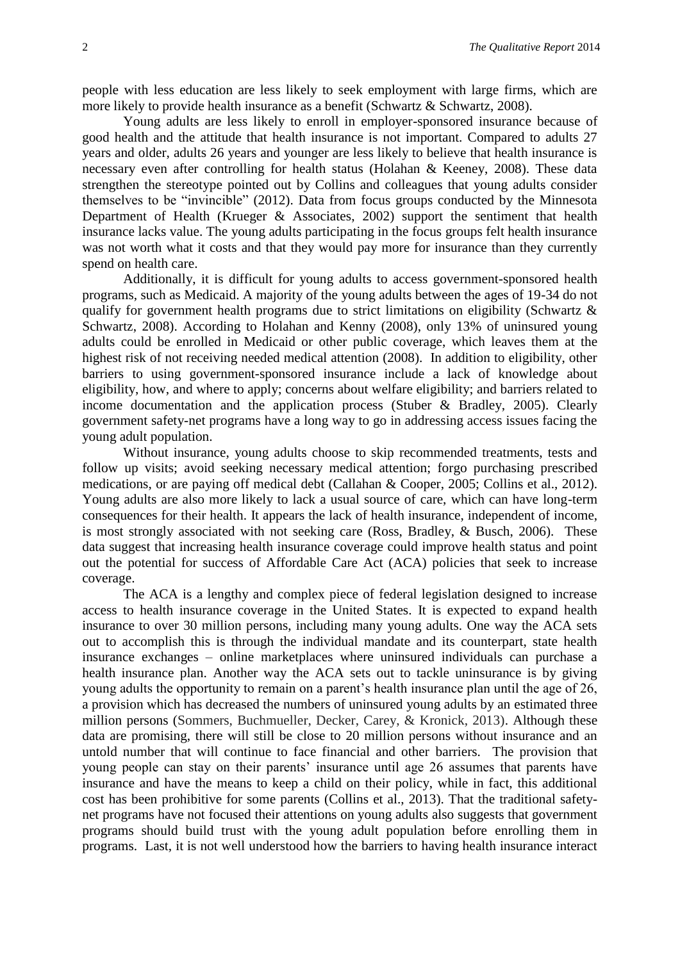people with less education are less likely to seek employment with large firms, which are more likely to provide health insurance as a benefit (Schwartz & Schwartz, 2008).

Young adults are less likely to enroll in employer-sponsored insurance because of good health and the attitude that health insurance is not important. Compared to adults 27 years and older, adults 26 years and younger are less likely to believe that health insurance is necessary even after controlling for health status (Holahan & Keeney, 2008). These data strengthen the stereotype pointed out by Collins and colleagues that young adults consider themselves to be "invincible" (2012). Data from focus groups conducted by the Minnesota Department of Health (Krueger & Associates, 2002) support the sentiment that health insurance lacks value. The young adults participating in the focus groups felt health insurance was not worth what it costs and that they would pay more for insurance than they currently spend on health care.

Additionally, it is difficult for young adults to access government-sponsored health programs, such as Medicaid. A majority of the young adults between the ages of 19-34 do not qualify for government health programs due to strict limitations on eligibility (Schwartz & Schwartz, 2008). According to Holahan and Kenny (2008), only 13% of uninsured young adults could be enrolled in Medicaid or other public coverage, which leaves them at the highest risk of not receiving needed medical attention (2008). In addition to eligibility, other barriers to using government-sponsored insurance include a lack of knowledge about eligibility, how, and where to apply; concerns about welfare eligibility; and barriers related to income documentation and the application process (Stuber & Bradley, 2005). Clearly government safety-net programs have a long way to go in addressing access issues facing the young adult population.

Without insurance, young adults choose to skip recommended treatments, tests and follow up visits; avoid seeking necessary medical attention; forgo purchasing prescribed medications, or are paying off medical debt (Callahan & Cooper, 2005; Collins et al., 2012). Young adults are also more likely to lack a usual source of care, which can have long-term consequences for their health. It appears the lack of health insurance, independent of income, is most strongly associated with not seeking care (Ross, Bradley, & Busch, 2006). These data suggest that increasing health insurance coverage could improve health status and point out the potential for success of Affordable Care Act (ACA) policies that seek to increase coverage.

The ACA is a lengthy and complex piece of federal legislation designed to increase access to health insurance coverage in the United States. It is expected to expand health insurance to over 30 million persons, including many young adults. One way the ACA sets out to accomplish this is through the individual mandate and its counterpart, state health insurance exchanges – online marketplaces where uninsured individuals can purchase a health insurance plan. Another way the ACA sets out to tackle uninsurance is by giving young adults the opportunity to remain on a parent's health insurance plan until the age of 26, a provision which has decreased the numbers of uninsured young adults by an estimated three million persons (Sommers, Buchmueller, Decker, Carey, & Kronick, 2013). Although these data are promising, there will still be close to 20 million persons without insurance and an untold number that will continue to face financial and other barriers. The provision that young people can stay on their parents' insurance until age 26 assumes that parents have insurance and have the means to keep a child on their policy, while in fact, this additional cost has been prohibitive for some parents (Collins et al., 2013). That the traditional safetynet programs have not focused their attentions on young adults also suggests that government programs should build trust with the young adult population before enrolling them in programs. Last, it is not well understood how the barriers to having health insurance interact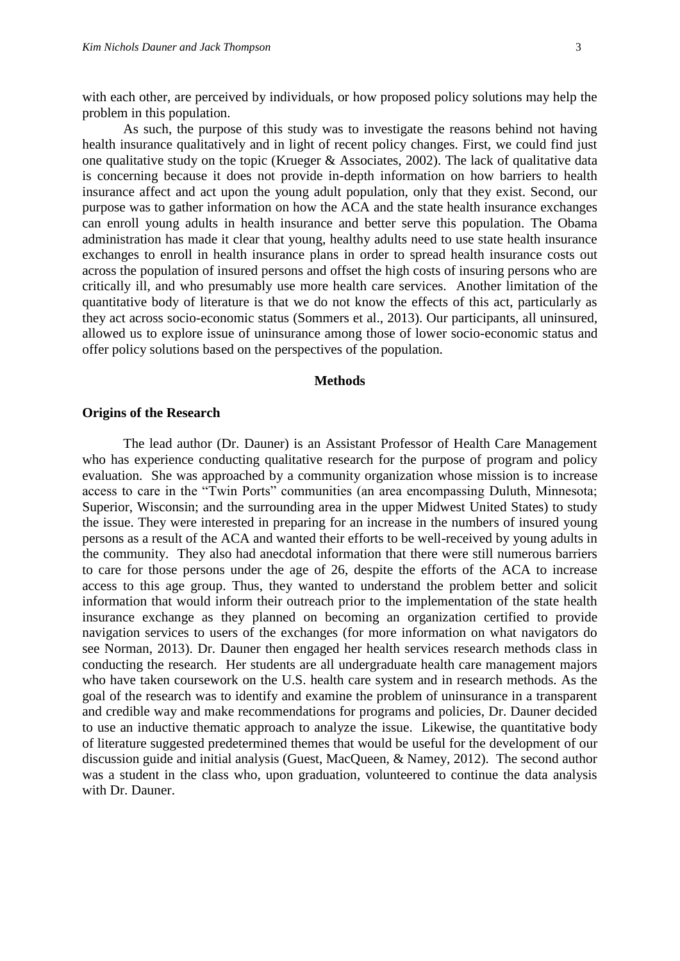with each other, are perceived by individuals, or how proposed policy solutions may help the problem in this population.

As such, the purpose of this study was to investigate the reasons behind not having health insurance qualitatively and in light of recent policy changes. First, we could find just one qualitative study on the topic (Krueger & Associates, 2002). The lack of qualitative data is concerning because it does not provide in-depth information on how barriers to health insurance affect and act upon the young adult population, only that they exist. Second, our purpose was to gather information on how the ACA and the state health insurance exchanges can enroll young adults in health insurance and better serve this population. The Obama administration has made it clear that young, healthy adults need to use state health insurance exchanges to enroll in health insurance plans in order to spread health insurance costs out across the population of insured persons and offset the high costs of insuring persons who are critically ill, and who presumably use more health care services. Another limitation of the quantitative body of literature is that we do not know the effects of this act, particularly as they act across socio-economic status (Sommers et al., 2013). Our participants, all uninsured, allowed us to explore issue of uninsurance among those of lower socio-economic status and offer policy solutions based on the perspectives of the population.

#### **Methods**

#### **Origins of the Research**

The lead author (Dr. Dauner) is an Assistant Professor of Health Care Management who has experience conducting qualitative research for the purpose of program and policy evaluation. She was approached by a community organization whose mission is to increase access to care in the "Twin Ports" communities (an area encompassing Duluth, Minnesota; Superior, Wisconsin; and the surrounding area in the upper Midwest United States) to study the issue. They were interested in preparing for an increase in the numbers of insured young persons as a result of the ACA and wanted their efforts to be well-received by young adults in the community. They also had anecdotal information that there were still numerous barriers to care for those persons under the age of 26, despite the efforts of the ACA to increase access to this age group. Thus, they wanted to understand the problem better and solicit information that would inform their outreach prior to the implementation of the state health insurance exchange as they planned on becoming an organization certified to provide navigation services to users of the exchanges (for more information on what navigators do see Norman, 2013). Dr. Dauner then engaged her health services research methods class in conducting the research. Her students are all undergraduate health care management majors who have taken coursework on the U.S. health care system and in research methods. As the goal of the research was to identify and examine the problem of uninsurance in a transparent and credible way and make recommendations for programs and policies, Dr. Dauner decided to use an inductive thematic approach to analyze the issue. Likewise, the quantitative body of literature suggested predetermined themes that would be useful for the development of our discussion guide and initial analysis (Guest, MacQueen, & Namey, 2012). The second author was a student in the class who, upon graduation, volunteered to continue the data analysis with Dr. Dauner.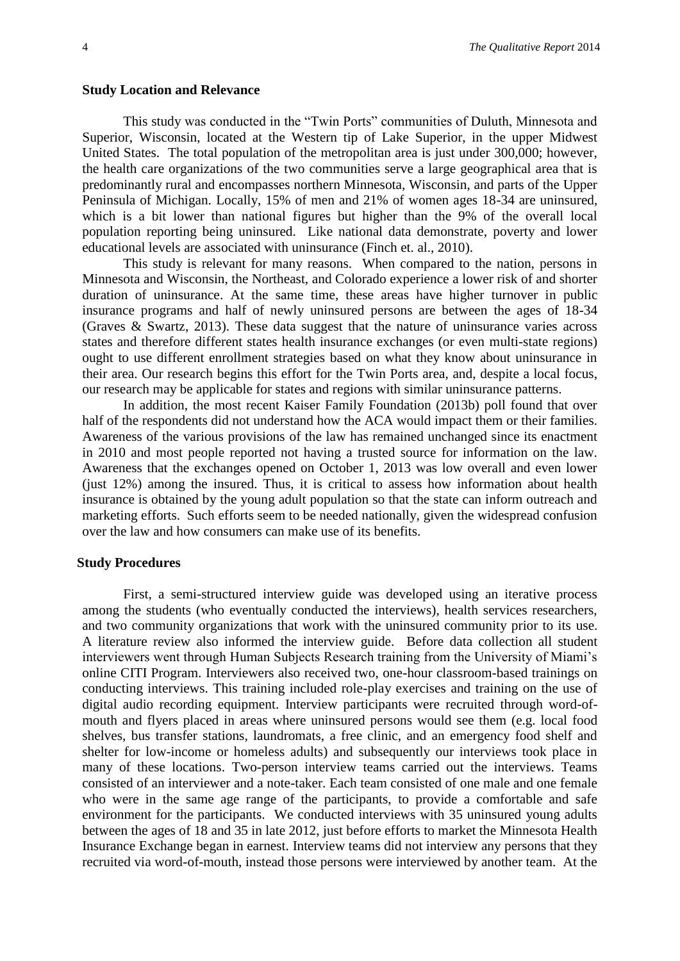#### **Study Location and Relevance**

This study was conducted in the "Twin Ports" communities of Duluth, Minnesota and Superior, Wisconsin, located at the Western tip of Lake Superior, in the upper Midwest United States. The total population of the metropolitan area is just under 300,000; however, the health care organizations of the two communities serve a large geographical area that is predominantly rural and encompasses northern Minnesota, Wisconsin, and parts of the Upper Peninsula of Michigan. Locally, 15% of men and 21% of women ages 18-34 are uninsured, which is a bit lower than national figures but higher than the 9% of the overall local population reporting being uninsured. Like national data demonstrate, poverty and lower educational levels are associated with uninsurance (Finch et. al., 2010).

This study is relevant for many reasons. When compared to the nation, persons in Minnesota and Wisconsin, the Northeast, and Colorado experience a lower risk of and shorter duration of uninsurance. At the same time, these areas have higher turnover in public insurance programs and half of newly uninsured persons are between the ages of 18-34 (Graves & Swartz, 2013). These data suggest that the nature of uninsurance varies across states and therefore different states health insurance exchanges (or even multi-state regions) ought to use different enrollment strategies based on what they know about uninsurance in their area. Our research begins this effort for the Twin Ports area, and, despite a local focus, our research may be applicable for states and regions with similar uninsurance patterns.

In addition, the most recent Kaiser Family Foundation (2013b) poll found that over half of the respondents did not understand how the ACA would impact them or their families. Awareness of the various provisions of the law has remained unchanged since its enactment in 2010 and most people reported not having a trusted source for information on the law. Awareness that the exchanges opened on October 1, 2013 was low overall and even lower (just 12%) among the insured. Thus, it is critical to assess how information about health insurance is obtained by the young adult population so that the state can inform outreach and marketing efforts. Such efforts seem to be needed nationally, given the widespread confusion over the law and how consumers can make use of its benefits.

#### **Study Procedures**

First, a semi-structured interview guide was developed using an iterative process among the students (who eventually conducted the interviews), health services researchers, and two community organizations that work with the uninsured community prior to its use. A literature review also informed the interview guide. Before data collection all student interviewers went through Human Subjects Research training from the University of Miami's online CITI Program. Interviewers also received two, one-hour classroom-based trainings on conducting interviews. This training included role-play exercises and training on the use of digital audio recording equipment. Interview participants were recruited through word-ofmouth and flyers placed in areas where uninsured persons would see them (e.g. local food shelves, bus transfer stations, laundromats, a free clinic, and an emergency food shelf and shelter for low-income or homeless adults) and subsequently our interviews took place in many of these locations. Two-person interview teams carried out the interviews. Teams consisted of an interviewer and a note-taker. Each team consisted of one male and one female who were in the same age range of the participants, to provide a comfortable and safe environment for the participants. We conducted interviews with 35 uninsured young adults between the ages of 18 and 35 in late 2012, just before efforts to market the Minnesota Health Insurance Exchange began in earnest. Interview teams did not interview any persons that they recruited via word-of-mouth, instead those persons were interviewed by another team. At the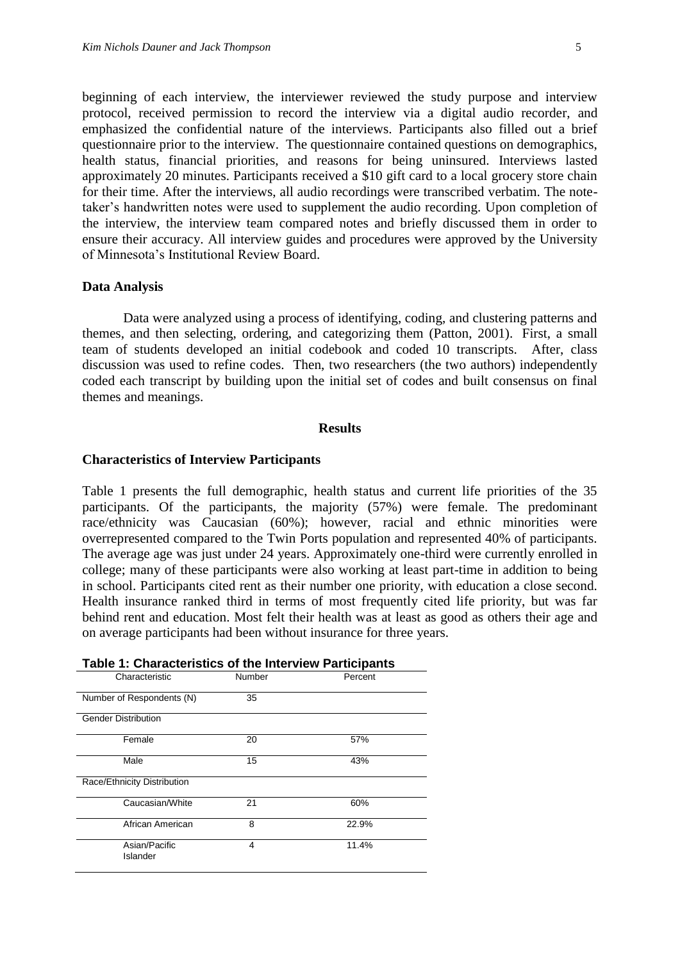beginning of each interview, the interviewer reviewed the study purpose and interview protocol, received permission to record the interview via a digital audio recorder, and emphasized the confidential nature of the interviews. Participants also filled out a brief questionnaire prior to the interview. The questionnaire contained questions on demographics, health status, financial priorities, and reasons for being uninsured. Interviews lasted approximately 20 minutes. Participants received a \$10 gift card to a local grocery store chain for their time. After the interviews, all audio recordings were transcribed verbatim. The notetaker's handwritten notes were used to supplement the audio recording. Upon completion of the interview, the interview team compared notes and briefly discussed them in order to ensure their accuracy. All interview guides and procedures were approved by the University of Minnesota's Institutional Review Board.

#### **Data Analysis**

Data were analyzed using a process of identifying, coding, and clustering patterns and themes, and then selecting, ordering, and categorizing them (Patton, 2001). First, a small team of students developed an initial codebook and coded 10 transcripts. After, class discussion was used to refine codes. Then, two researchers (the two authors) independently coded each transcript by building upon the initial set of codes and built consensus on final themes and meanings.

#### **Results**

#### **Characteristics of Interview Participants**

Table 1 presents the full demographic, health status and current life priorities of the 35 participants. Of the participants, the majority (57%) were female. The predominant race/ethnicity was Caucasian (60%); however, racial and ethnic minorities were overrepresented compared to the Twin Ports population and represented 40% of participants. The average age was just under 24 years. Approximately one-third were currently enrolled in college; many of these participants were also working at least part-time in addition to being in school. Participants cited rent as their number one priority, with education a close second. Health insurance ranked third in terms of most frequently cited life priority, but was far behind rent and education. Most felt their health was at least as good as others their age and on average participants had been without insurance for three years.

| Characteristic              | Number         | Percent |
|-----------------------------|----------------|---------|
| Number of Respondents (N)   | 35             |         |
| <b>Gender Distribution</b>  |                |         |
| Female                      | 20             | 57%     |
| Male                        | 15             | 43%     |
| Race/Ethnicity Distribution |                |         |
| Caucasian/White             | 21             | 60%     |
| African American            | 8              | 22.9%   |
| Asian/Pacific<br>Islander   | $\overline{4}$ | 11.4%   |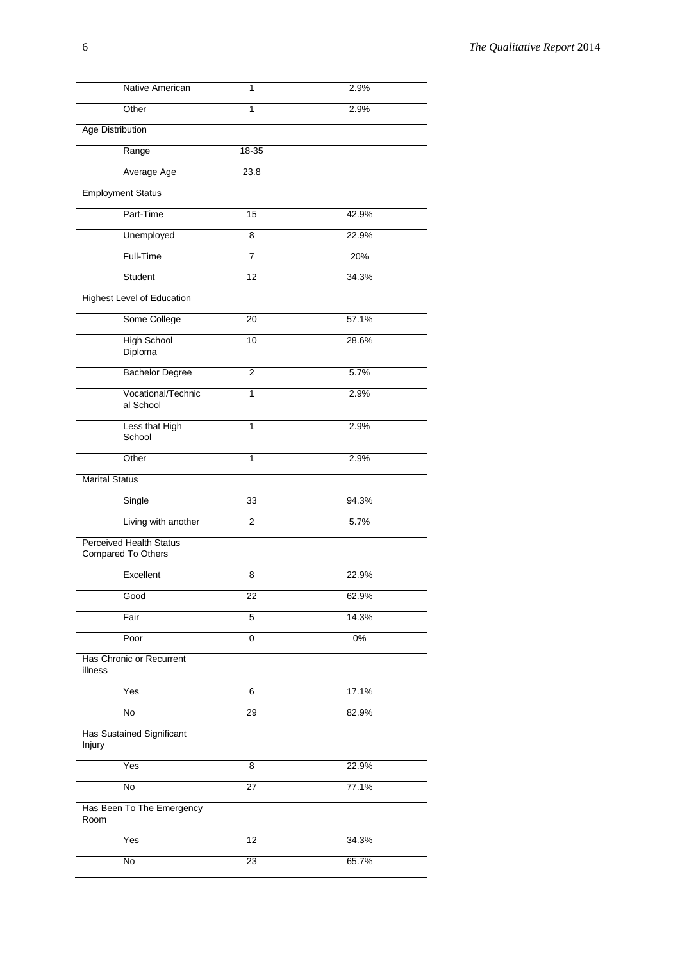| Native American                                      | 1               | 2.9%  |
|------------------------------------------------------|-----------------|-------|
| Other                                                | $\overline{1}$  | 2.9%  |
| <b>Age Distribution</b>                              |                 |       |
| Range                                                | 18-35           |       |
| Average Age                                          | 23.8            |       |
| <b>Employment Status</b>                             |                 |       |
| Part-Time                                            | $\overline{15}$ | 42.9% |
| Unemployed                                           | 8               | 22.9% |
| Full-Time                                            | 7               | 20%   |
| Student                                              | 12              | 34.3% |
| <b>Highest Level of Education</b>                    |                 |       |
| Some College                                         | $\overline{20}$ | 57.1% |
| <b>High School</b><br>Diploma                        | 10              | 28.6% |
| <b>Bachelor Degree</b>                               | $\overline{2}$  | 5.7%  |
| Vocational/Technic<br>al School                      | $\overline{1}$  | 2.9%  |
| Less that High<br>School                             | 1               | 2.9%  |
| Other                                                | 1               | 2.9%  |
| <b>Marital Status</b>                                |                 |       |
| Single                                               | 33              | 94.3% |
| Living with another                                  | $\overline{2}$  | 5.7%  |
| <b>Perceived Health Status</b><br>Compared To Others |                 |       |
| Excellent                                            | 8               | 22.9% |
| Good                                                 | 22              | 62.9% |
| Fair                                                 | 5               | 14.3% |
| Poor                                                 | $\overline{0}$  | $0\%$ |
| Has Chronic or Recurrent<br>illness                  |                 |       |
| Yes                                                  | 6               | 17.1% |
| No                                                   | 29              | 82.9% |
| <b>Has Sustained Significant</b><br>Injury           |                 |       |
| Yes                                                  | 8               | 22.9% |
| No                                                   | 27              | 77.1% |
| Has Been To The Emergency<br>Room                    |                 |       |
| Yes                                                  | 12              | 34.3% |
| $\overline{N}$                                       | 23              | 65.7% |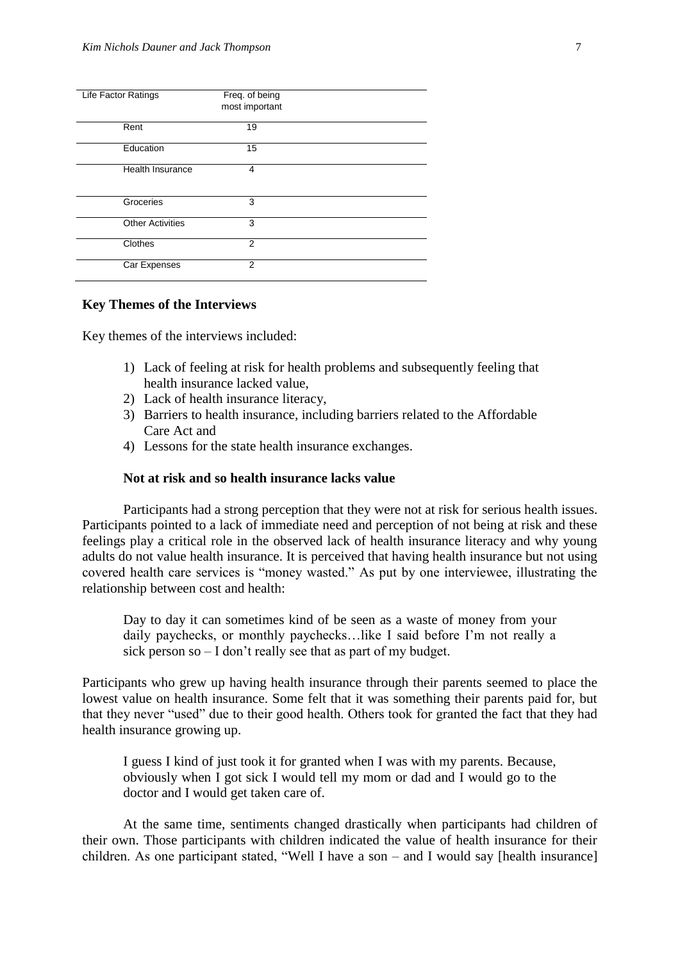| <b>Life Factor Ratings</b> | Freq. of being<br>most important |  |
|----------------------------|----------------------------------|--|
| Rent                       | 19                               |  |
| Education                  | 15                               |  |
| <b>Health Insurance</b>    | 4                                |  |
| Groceries                  | 3                                |  |
| <b>Other Activities</b>    | 3                                |  |
| Clothes                    | 2                                |  |
| Car Expenses               | $\mathfrak{p}$                   |  |

#### **Key Themes of the Interviews**

Key themes of the interviews included:

- 1) Lack of feeling at risk for health problems and subsequently feeling that health insurance lacked value,
- 2) Lack of health insurance literacy,
- 3) Barriers to health insurance, including barriers related to the Affordable Care Act and
- 4) Lessons for the state health insurance exchanges.

#### **Not at risk and so health insurance lacks value**

Participants had a strong perception that they were not at risk for serious health issues. Participants pointed to a lack of immediate need and perception of not being at risk and these feelings play a critical role in the observed lack of health insurance literacy and why young adults do not value health insurance. It is perceived that having health insurance but not using covered health care services is "money wasted." As put by one interviewee, illustrating the relationship between cost and health:

Day to day it can sometimes kind of be seen as a waste of money from your daily paychecks, or monthly paychecks…like I said before I'm not really a sick person so – I don't really see that as part of my budget.

Participants who grew up having health insurance through their parents seemed to place the lowest value on health insurance. Some felt that it was something their parents paid for, but that they never "used" due to their good health. Others took for granted the fact that they had health insurance growing up.

I guess I kind of just took it for granted when I was with my parents. Because, obviously when I got sick I would tell my mom or dad and I would go to the doctor and I would get taken care of.

At the same time, sentiments changed drastically when participants had children of their own. Those participants with children indicated the value of health insurance for their children. As one participant stated, "Well I have a son – and I would say [health insurance]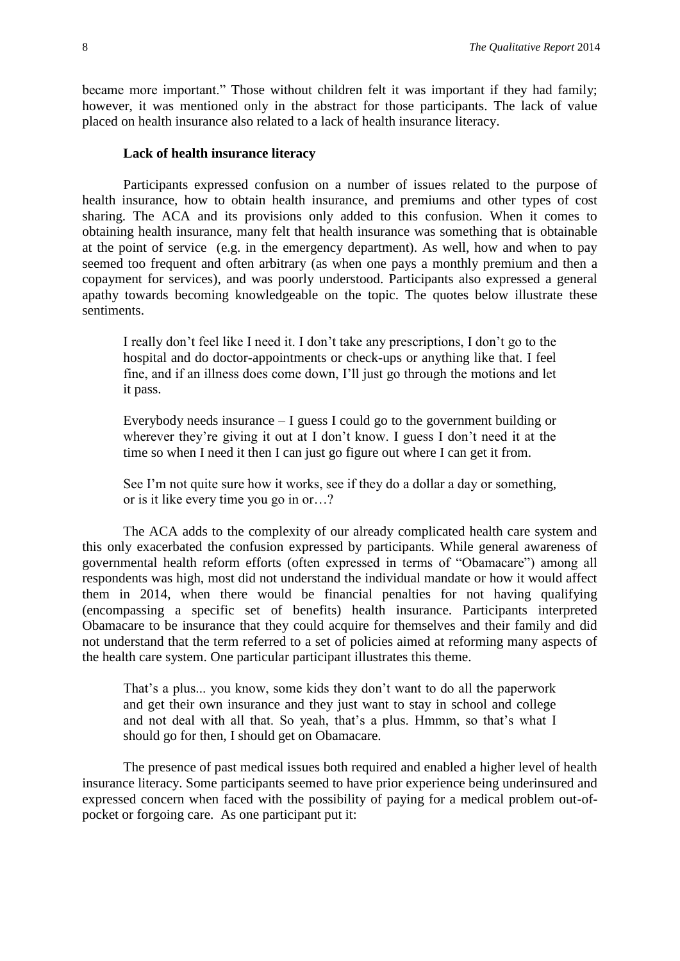became more important." Those without children felt it was important if they had family; however, it was mentioned only in the abstract for those participants. The lack of value placed on health insurance also related to a lack of health insurance literacy.

#### **Lack of health insurance literacy**

Participants expressed confusion on a number of issues related to the purpose of health insurance, how to obtain health insurance, and premiums and other types of cost sharing. The ACA and its provisions only added to this confusion. When it comes to obtaining health insurance, many felt that health insurance was something that is obtainable at the point of service (e.g. in the emergency department). As well, how and when to pay seemed too frequent and often arbitrary (as when one pays a monthly premium and then a copayment for services), and was poorly understood. Participants also expressed a general apathy towards becoming knowledgeable on the topic. The quotes below illustrate these sentiments.

I really don't feel like I need it. I don't take any prescriptions, I don't go to the hospital and do doctor-appointments or check-ups or anything like that. I feel fine, and if an illness does come down, I'll just go through the motions and let it pass.

Everybody needs insurance – I guess I could go to the government building or wherever they're giving it out at I don't know. I guess I don't need it at the time so when I need it then I can just go figure out where I can get it from.

See I'm not quite sure how it works, see if they do a dollar a day or something, or is it like every time you go in or…?

The ACA adds to the complexity of our already complicated health care system and this only exacerbated the confusion expressed by participants. While general awareness of governmental health reform efforts (often expressed in terms of "Obamacare") among all respondents was high, most did not understand the individual mandate or how it would affect them in 2014, when there would be financial penalties for not having qualifying (encompassing a specific set of benefits) health insurance. Participants interpreted Obamacare to be insurance that they could acquire for themselves and their family and did not understand that the term referred to a set of policies aimed at reforming many aspects of the health care system. One particular participant illustrates this theme.

That's a plus... you know, some kids they don't want to do all the paperwork and get their own insurance and they just want to stay in school and college and not deal with all that. So yeah, that's a plus. Hmmm, so that's what I should go for then, I should get on Obamacare.

The presence of past medical issues both required and enabled a higher level of health insurance literacy. Some participants seemed to have prior experience being underinsured and expressed concern when faced with the possibility of paying for a medical problem out-ofpocket or forgoing care. As one participant put it: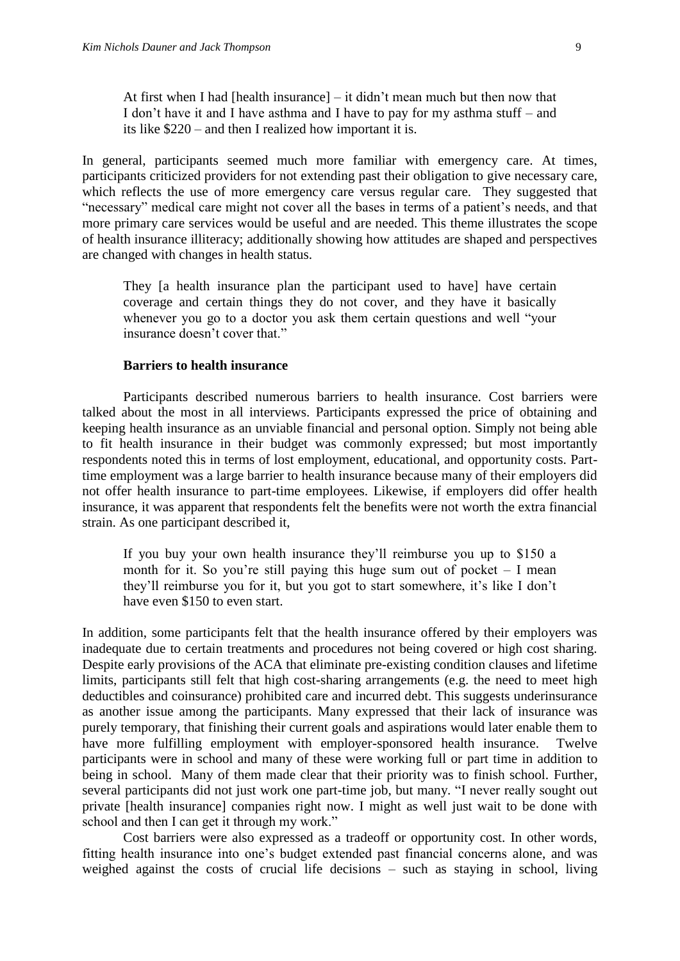At first when I had [health insurance]  $-$  it didn't mean much but then now that I don't have it and I have asthma and I have to pay for my asthma stuff – and its like \$220 – and then I realized how important it is.

In general, participants seemed much more familiar with emergency care. At times, participants criticized providers for not extending past their obligation to give necessary care, which reflects the use of more emergency care versus regular care. They suggested that "necessary" medical care might not cover all the bases in terms of a patient's needs, and that more primary care services would be useful and are needed. This theme illustrates the scope of health insurance illiteracy; additionally showing how attitudes are shaped and perspectives are changed with changes in health status.

They [a health insurance plan the participant used to have] have certain coverage and certain things they do not cover, and they have it basically whenever you go to a doctor you ask them certain questions and well "your insurance doesn't cover that."

#### **Barriers to health insurance**

Participants described numerous barriers to health insurance. Cost barriers were talked about the most in all interviews. Participants expressed the price of obtaining and keeping health insurance as an unviable financial and personal option. Simply not being able to fit health insurance in their budget was commonly expressed; but most importantly respondents noted this in terms of lost employment, educational, and opportunity costs. Parttime employment was a large barrier to health insurance because many of their employers did not offer health insurance to part-time employees. Likewise, if employers did offer health insurance, it was apparent that respondents felt the benefits were not worth the extra financial strain. As one participant described it,

If you buy your own health insurance they'll reimburse you up to \$150 a month for it. So you're still paying this huge sum out of pocket – I mean they'll reimburse you for it, but you got to start somewhere, it's like I don't have even \$150 to even start.

In addition, some participants felt that the health insurance offered by their employers was inadequate due to certain treatments and procedures not being covered or high cost sharing. Despite early provisions of the ACA that eliminate pre-existing condition clauses and lifetime limits, participants still felt that high cost-sharing arrangements (e.g. the need to meet high deductibles and coinsurance) prohibited care and incurred debt. This suggests underinsurance as another issue among the participants. Many expressed that their lack of insurance was purely temporary, that finishing their current goals and aspirations would later enable them to have more fulfilling employment with employer-sponsored health insurance. Twelve participants were in school and many of these were working full or part time in addition to being in school. Many of them made clear that their priority was to finish school. Further, several participants did not just work one part-time job, but many. "I never really sought out private [health insurance] companies right now. I might as well just wait to be done with school and then I can get it through my work."

Cost barriers were also expressed as a tradeoff or opportunity cost. In other words, fitting health insurance into one's budget extended past financial concerns alone, and was weighed against the costs of crucial life decisions – such as staying in school, living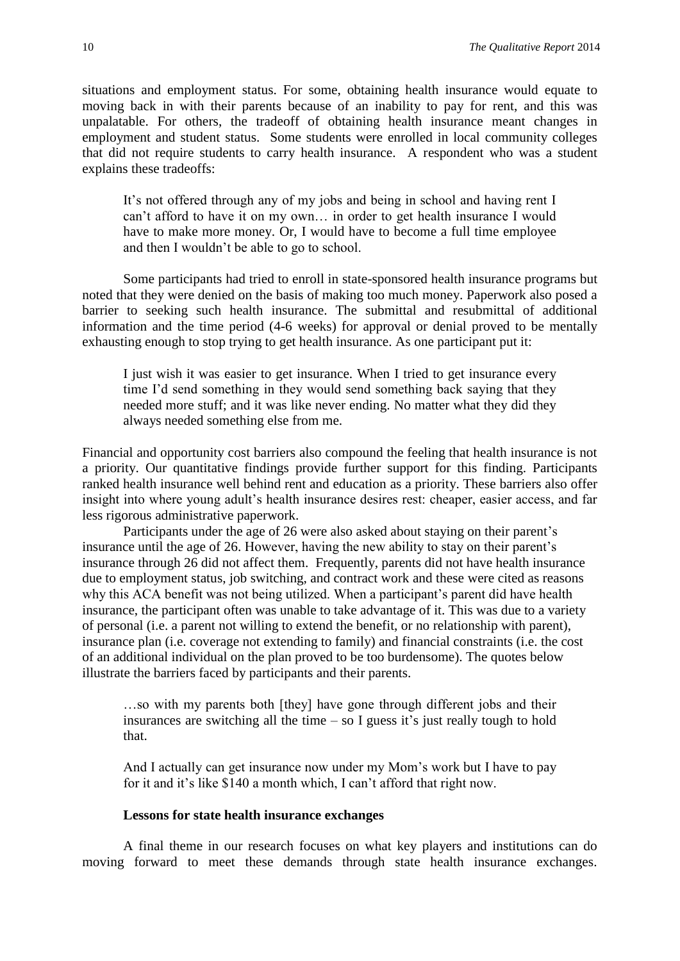situations and employment status. For some, obtaining health insurance would equate to moving back in with their parents because of an inability to pay for rent, and this was unpalatable. For others, the tradeoff of obtaining health insurance meant changes in employment and student status. Some students were enrolled in local community colleges that did not require students to carry health insurance. A respondent who was a student explains these tradeoffs:

It's not offered through any of my jobs and being in school and having rent I can't afford to have it on my own… in order to get health insurance I would have to make more money. Or, I would have to become a full time employee and then I wouldn't be able to go to school.

Some participants had tried to enroll in state-sponsored health insurance programs but noted that they were denied on the basis of making too much money. Paperwork also posed a barrier to seeking such health insurance. The submittal and resubmittal of additional information and the time period (4-6 weeks) for approval or denial proved to be mentally exhausting enough to stop trying to get health insurance. As one participant put it:

I just wish it was easier to get insurance. When I tried to get insurance every time I'd send something in they would send something back saying that they needed more stuff; and it was like never ending. No matter what they did they always needed something else from me.

Financial and opportunity cost barriers also compound the feeling that health insurance is not a priority. Our quantitative findings provide further support for this finding. Participants ranked health insurance well behind rent and education as a priority. These barriers also offer insight into where young adult's health insurance desires rest: cheaper, easier access, and far less rigorous administrative paperwork.

Participants under the age of 26 were also asked about staying on their parent's insurance until the age of 26. However, having the new ability to stay on their parent's insurance through 26 did not affect them. Frequently, parents did not have health insurance due to employment status, job switching, and contract work and these were cited as reasons why this ACA benefit was not being utilized. When a participant's parent did have health insurance, the participant often was unable to take advantage of it. This was due to a variety of personal (i.e. a parent not willing to extend the benefit, or no relationship with parent), insurance plan (i.e. coverage not extending to family) and financial constraints (i.e. the cost of an additional individual on the plan proved to be too burdensome). The quotes below illustrate the barriers faced by participants and their parents.

…so with my parents both [they] have gone through different jobs and their insurances are switching all the time  $-$  so I guess it's just really tough to hold that.

And I actually can get insurance now under my Mom's work but I have to pay for it and it's like \$140 a month which, I can't afford that right now.

#### **Lessons for state health insurance exchanges**

A final theme in our research focuses on what key players and institutions can do moving forward to meet these demands through state health insurance exchanges.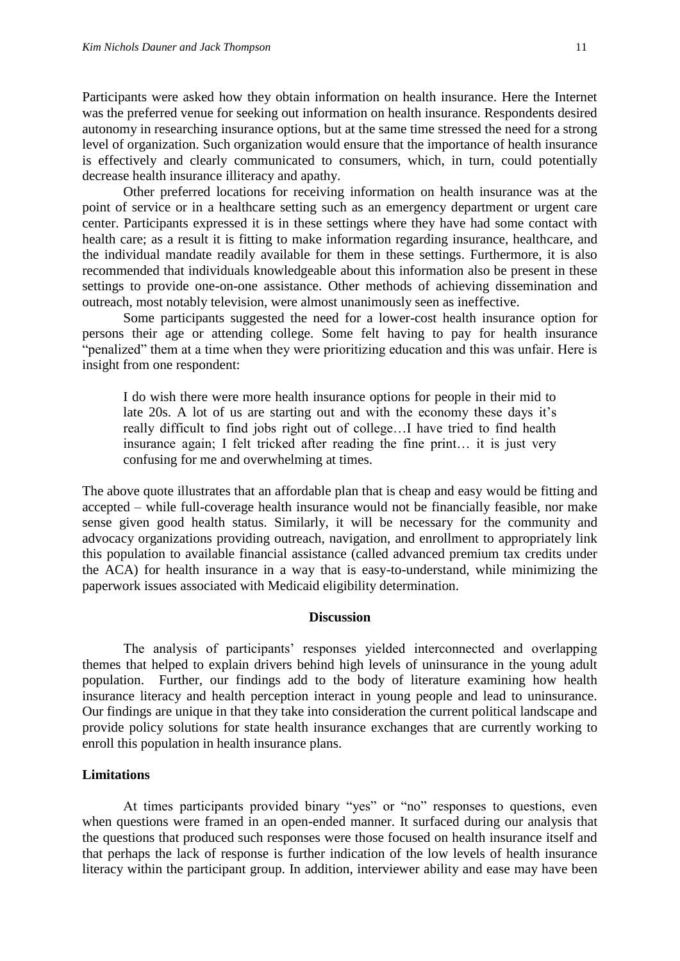Participants were asked how they obtain information on health insurance. Here the Internet was the preferred venue for seeking out information on health insurance. Respondents desired autonomy in researching insurance options, but at the same time stressed the need for a strong level of organization. Such organization would ensure that the importance of health insurance is effectively and clearly communicated to consumers, which, in turn, could potentially decrease health insurance illiteracy and apathy.

Other preferred locations for receiving information on health insurance was at the point of service or in a healthcare setting such as an emergency department or urgent care center. Participants expressed it is in these settings where they have had some contact with health care; as a result it is fitting to make information regarding insurance, healthcare, and the individual mandate readily available for them in these settings. Furthermore, it is also recommended that individuals knowledgeable about this information also be present in these settings to provide one-on-one assistance. Other methods of achieving dissemination and outreach, most notably television, were almost unanimously seen as ineffective.

Some participants suggested the need for a lower-cost health insurance option for persons their age or attending college. Some felt having to pay for health insurance "penalized" them at a time when they were prioritizing education and this was unfair. Here is insight from one respondent:

I do wish there were more health insurance options for people in their mid to late 20s. A lot of us are starting out and with the economy these days it's really difficult to find jobs right out of college…I have tried to find health insurance again; I felt tricked after reading the fine print… it is just very confusing for me and overwhelming at times.

The above quote illustrates that an affordable plan that is cheap and easy would be fitting and accepted – while full-coverage health insurance would not be financially feasible, nor make sense given good health status. Similarly, it will be necessary for the community and advocacy organizations providing outreach, navigation, and enrollment to appropriately link this population to available financial assistance (called advanced premium tax credits under the ACA) for health insurance in a way that is easy-to-understand, while minimizing the paperwork issues associated with Medicaid eligibility determination.

#### **Discussion**

The analysis of participants' responses yielded interconnected and overlapping themes that helped to explain drivers behind high levels of uninsurance in the young adult population. Further, our findings add to the body of literature examining how health insurance literacy and health perception interact in young people and lead to uninsurance. Our findings are unique in that they take into consideration the current political landscape and provide policy solutions for state health insurance exchanges that are currently working to enroll this population in health insurance plans.

#### **Limitations**

At times participants provided binary "yes" or "no" responses to questions, even when questions were framed in an open-ended manner. It surfaced during our analysis that the questions that produced such responses were those focused on health insurance itself and that perhaps the lack of response is further indication of the low levels of health insurance literacy within the participant group. In addition, interviewer ability and ease may have been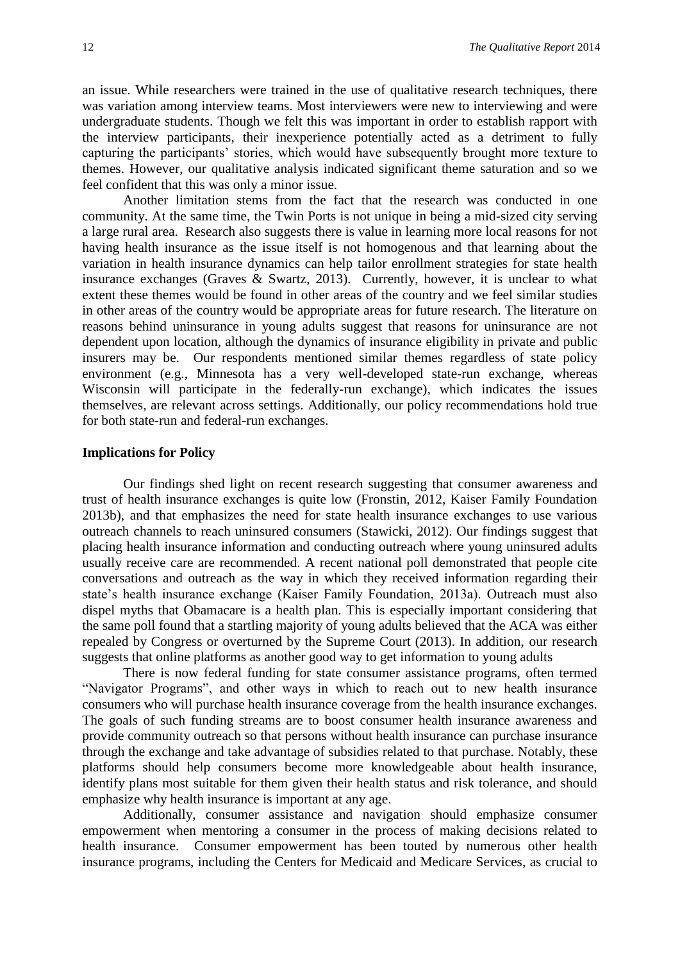an issue. While researchers were trained in the use of qualitative research techniques, there was variation among interview teams. Most interviewers were new to interviewing and were undergraduate students. Though we felt this was important in order to establish rapport with the interview participants, their inexperience potentially acted as a detriment to fully capturing the participants' stories, which would have subsequently brought more texture to themes. However, our qualitative analysis indicated significant theme saturation and so we feel confident that this was only a minor issue.

Another limitation stems from the fact that the research was conducted in one community. At the same time, the Twin Ports is not unique in being a mid-sized city serving a large rural area. Research also suggests there is value in learning more local reasons for not having health insurance as the issue itself is not homogenous and that learning about the variation in health insurance dynamics can help tailor enrollment strategies for state health insurance exchanges (Graves  $\&$  Swartz, 2013). Currently, however, it is unclear to what extent these themes would be found in other areas of the country and we feel similar studies in other areas of the country would be appropriate areas for future research. The literature on reasons behind uninsurance in young adults suggest that reasons for uninsurance are not dependent upon location, although the dynamics of insurance eligibility in private and public insurers may be. Our respondents mentioned similar themes regardless of state policy environment (e.g., Minnesota has a very well-developed state-run exchange, whereas Wisconsin will participate in the federally-run exchange), which indicates the issues themselves, are relevant across settings. Additionally, our policy recommendations hold true for both state-run and federal-run exchanges.

#### **Implications for Policy**

Our findings shed light on recent research suggesting that consumer awareness and trust of health insurance exchanges is quite low (Fronstin, 2012, Kaiser Family Foundation 2013b), and that emphasizes the need for state health insurance exchanges to use various outreach channels to reach uninsured consumers (Stawicki, 2012). Our findings suggest that placing health insurance information and conducting outreach where young uninsured adults usually receive care are recommended. A recent national poll demonstrated that people cite conversations and outreach as the way in which they received information regarding their state's health insurance exchange (Kaiser Family Foundation, 2013a). Outreach must also dispel myths that Obamacare is a health plan. This is especially important considering that the same poll found that a startling majority of young adults believed that the ACA was either repealed by Congress or overturned by the Supreme Court (2013). In addition, our research suggests that online platforms as another good way to get information to young adults

There is now federal funding for state consumer assistance programs, often termed "Navigator Programs", and other ways in which to reach out to new health insurance consumers who will purchase health insurance coverage from the health insurance exchanges. The goals of such funding streams are to boost consumer health insurance awareness and provide community outreach so that persons without health insurance can purchase insurance through the exchange and take advantage of subsidies related to that purchase. Notably, these platforms should help consumers become more knowledgeable about health insurance, identify plans most suitable for them given their health status and risk tolerance, and should emphasize why health insurance is important at any age.

Additionally, consumer assistance and navigation should emphasize consumer empowerment when mentoring a consumer in the process of making decisions related to health insurance. Consumer empowerment has been touted by numerous other health insurance programs, including the Centers for Medicaid and Medicare Services, as crucial to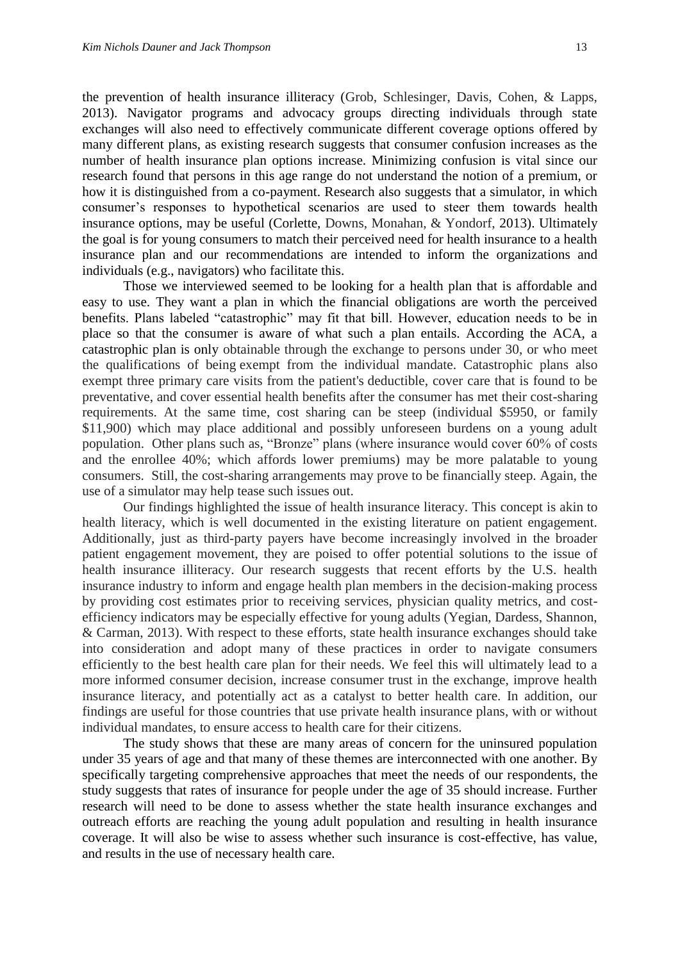the prevention of health insurance illiteracy (Grob, Schlesinger, Davis, Cohen, & Lapps, 2013). Navigator programs and advocacy groups directing individuals through state exchanges will also need to effectively communicate different coverage options offered by many different plans, as existing research suggests that consumer confusion increases as the number of health insurance plan options increase. Minimizing confusion is vital since our research found that persons in this age range do not understand the notion of a premium, or how it is distinguished from a co-payment. Research also suggests that a simulator, in which consumer's responses to hypothetical scenarios are used to steer them towards health insurance options, may be useful (Corlette, Downs, Monahan, & Yondorf, 2013). Ultimately the goal is for young consumers to match their perceived need for health insurance to a health insurance plan and our recommendations are intended to inform the organizations and individuals (e.g., navigators) who facilitate this.

Those we interviewed seemed to be looking for a health plan that is affordable and easy to use. They want a plan in which the financial obligations are worth the perceived benefits. Plans labeled "catastrophic" may fit that bill. However, education needs to be in place so that the consumer is aware of what such a plan entails. According the ACA, a catastrophic plan is only obtainable through the exchange to persons under 30, or who meet the qualifications of being exempt from the individual mandate. Catastrophic plans also exempt three primary care visits from the patient's deductible, cover care that is found to be preventative, and cover essential health benefits after the consumer has met their cost-sharing requirements. At the same time, cost sharing can be steep (individual \$5950, or family \$11,900) which may place additional and possibly unforeseen burdens on a young adult population. Other plans such as, "Bronze" plans (where insurance would cover 60% of costs and the enrollee 40%; which affords lower premiums) may be more palatable to young consumers. Still, the cost-sharing arrangements may prove to be financially steep. Again, the use of a simulator may help tease such issues out.

Our findings highlighted the issue of health insurance literacy. This concept is akin to health literacy, which is well documented in the existing literature on patient engagement. Additionally, just as third-party payers have become increasingly involved in the broader patient engagement movement, they are poised to offer potential solutions to the issue of health insurance illiteracy. Our research suggests that recent efforts by the U.S. health insurance industry to inform and engage health plan members in the decision-making process by providing cost estimates prior to receiving services, physician quality metrics, and costefficiency indicators may be especially effective for young adults (Yegian, Dardess, Shannon, & Carman, 2013). With respect to these efforts, state health insurance exchanges should take into consideration and adopt many of these practices in order to navigate consumers efficiently to the best health care plan for their needs. We feel this will ultimately lead to a more informed consumer decision, increase consumer trust in the exchange, improve health insurance literacy, and potentially act as a catalyst to better health care. In addition, our findings are useful for those countries that use private health insurance plans, with or without individual mandates, to ensure access to health care for their citizens.

The study shows that these are many areas of concern for the uninsured population under 35 years of age and that many of these themes are interconnected with one another. By specifically targeting comprehensive approaches that meet the needs of our respondents, the study suggests that rates of insurance for people under the age of 35 should increase. Further research will need to be done to assess whether the state health insurance exchanges and outreach efforts are reaching the young adult population and resulting in health insurance coverage. It will also be wise to assess whether such insurance is cost-effective, has value, and results in the use of necessary health care.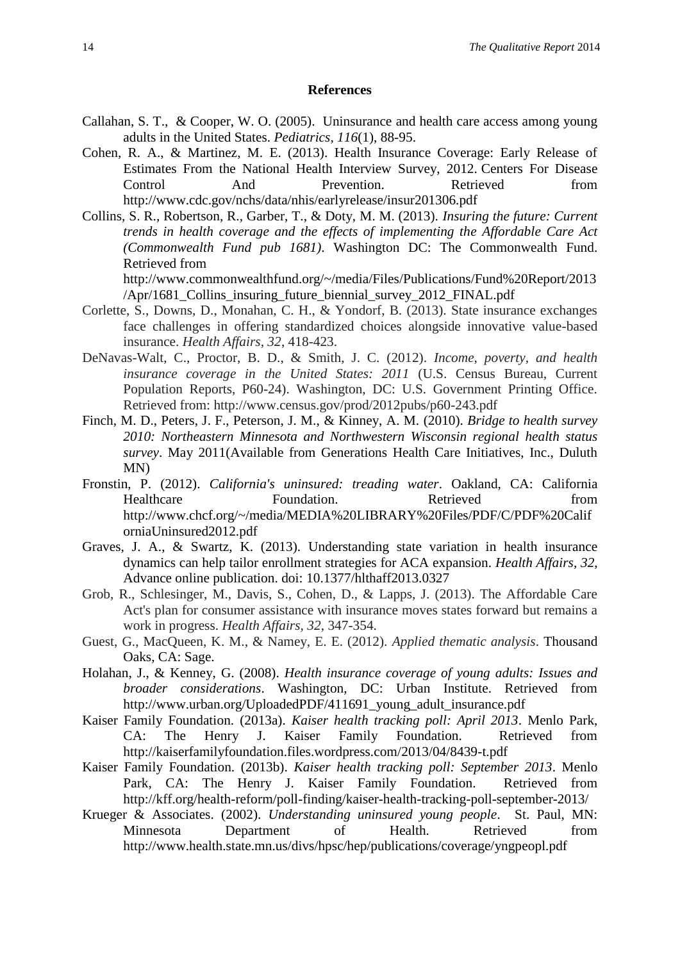#### **References**

- Callahan, S. T., & Cooper, W. O. (2005). Uninsurance and health care access among young adults in the United States. *Pediatrics, 116*(1), 88-95.
- Cohen, R. A., & Martinez, M. E. (2013). Health Insurance Coverage: Early Release of Estimates From the National Health Interview Survey, 2012. Centers For Disease Control And Prevention. Retrieved from http://www.cdc.gov/nchs/data/nhis/earlyrelease/insur201306.pdf
- Collins, S. R., Robertson, R., Garber, T., & Doty, M. M. (2013). *Insuring the future: Current trends in health coverage and the effects of implementing the Affordable Care Act (Commonwealth Fund pub 1681)*. Washington DC: The Commonwealth Fund. Retrieved from

http://www.commonwealthfund.org/~/media/Files/Publications/Fund%20Report/2013 /Apr/1681\_Collins\_insuring\_future\_biennial\_survey\_2012\_FINAL.pdf

- Corlette, S., Downs, D., Monahan, C. H., & Yondorf, B. (2013). State insurance exchanges face challenges in offering standardized choices alongside innovative value-based insurance. *Health Affairs, 32*, 418-423.
- DeNavas-Walt, C., Proctor, B. D., & Smith, J. C. (2012). *Income, poverty, and health insurance coverage in the United States: 2011* (U.S. Census Bureau, Current Population Reports, P60-24). Washington, DC: U.S. Government Printing Office. Retrieved from: http://www.census.gov/prod/2012pubs/p60-243.pdf
- Finch, M. D., Peters, J. F., Peterson, J. M., & Kinney, A. M. (2010). *Bridge to health survey 2010: Northeastern Minnesota and Northwestern Wisconsin regional health status survey*. May 2011(Available from Generations Health Care Initiatives, Inc., Duluth MN)
- Fronstin, P. (2012). *California's uninsured: treading water*. Oakland, CA: California Healthcare Foundation. Retrieved from http://www.chcf.org/~/media/MEDIA%20LIBRARY%20Files/PDF/C/PDF%20Calif orniaUninsured2012.pdf
- Graves, J. A., & Swartz, K. (2013). Understanding state variation in health insurance dynamics can help tailor enrollment strategies for ACA expansion. *Health Affairs, 32,*  Advance online publication. doi: 10.1377/hlthaff2013.0327
- Grob, R., Schlesinger, M., Davis, S., Cohen, D., & Lapps, J. (2013). The Affordable Care Act's plan for consumer assistance with insurance moves states forward but remains a work in progress. *Health Affairs, 32*, 347-354.
- Guest, G., MacQueen, K. M., & Namey, E. E. (2012). *Applied thematic analysis*. Thousand Oaks, CA: Sage.
- Holahan, J., & Kenney, G. (2008). *Health insurance coverage of young adults: Issues and broader considerations*. Washington, DC: Urban Institute. Retrieved from http://www.urban.org/UploadedPDF/411691\_young\_adult\_insurance.pdf
- Kaiser Family Foundation. (2013a). *Kaiser health tracking poll: April 2013*. Menlo Park, CA: The Henry J. Kaiser Family Foundation. Retrieved from http://kaiserfamilyfoundation.files.wordpress.com/2013/04/8439-t.pdf
- Kaiser Family Foundation. (2013b). *Kaiser health tracking poll: September 2013*. Menlo Park, CA: The Henry J. Kaiser Family Foundation. Retrieved from http://kff.org/health-reform/poll-finding/kaiser-health-tracking-poll-september-2013/
- Krueger & Associates. (2002). *Understanding uninsured young people*. St. Paul, MN: Minnesota Department of Health. Retrieved from http://www.health.state.mn.us/divs/hpsc/hep/publications/coverage/yngpeopl.pdf